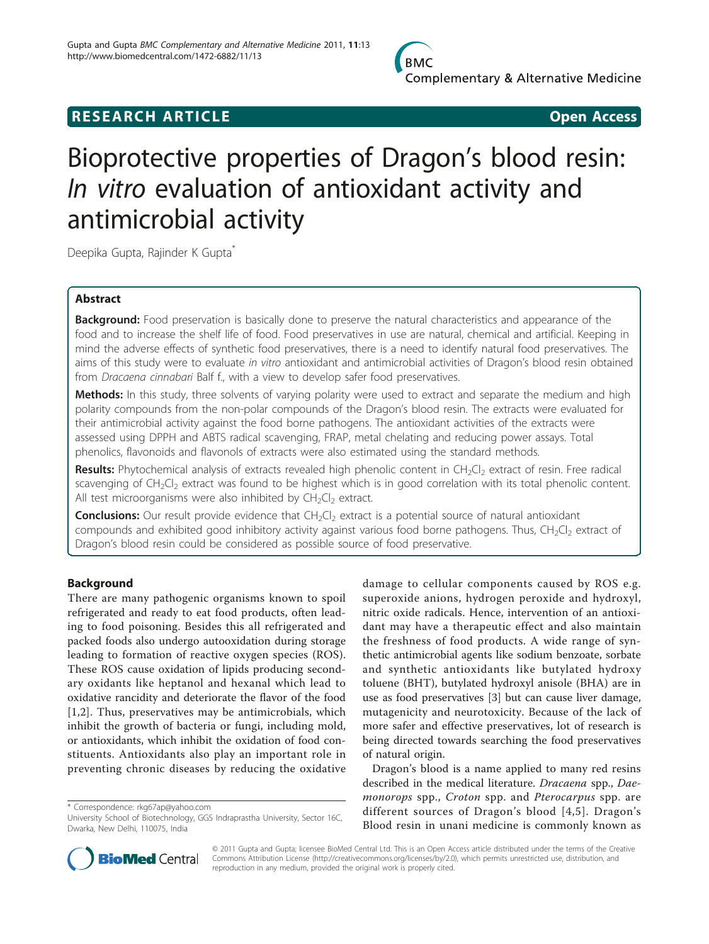

## **RESEARCH ARTICLE Example 2018 Open Access**

# Bioprotective properties of Dragon's blood resin: In vitro evaluation of antioxidant activity and antimicrobial activity

Deepika Gupta, Rajinder K Gupta<sup>\*</sup>

## Abstract

**Background:** Food preservation is basically done to preserve the natural characteristics and appearance of the food and to increase the shelf life of food. Food preservatives in use are natural, chemical and artificial. Keeping in mind the adverse effects of synthetic food preservatives, there is a need to identify natural food preservatives. The aims of this study were to evaluate in vitro antioxidant and antimicrobial activities of Dragon's blood resin obtained from Dracaena cinnabari Balf f., with a view to develop safer food preservatives.

Methods: In this study, three solvents of varying polarity were used to extract and separate the medium and high polarity compounds from the non-polar compounds of the Dragon's blood resin. The extracts were evaluated for their antimicrobial activity against the food borne pathogens. The antioxidant activities of the extracts were assessed using DPPH and ABTS radical scavenging, FRAP, metal chelating and reducing power assays. Total phenolics, flavonoids and flavonols of extracts were also estimated using the standard methods.

Results: Phytochemical analysis of extracts revealed high phenolic content in CH<sub>2</sub>Cl<sub>2</sub> extract of resin. Free radical scavenging of  $CH<sub>2</sub>Cl<sub>2</sub>$  extract was found to be highest which is in good correlation with its total phenolic content. All test microorganisms were also inhibited by  $CH_2Cl_2$  extract.

**Conclusions:** Our result provide evidence that CH<sub>2</sub>Cl<sub>2</sub> extract is a potential source of natural antioxidant compounds and exhibited good inhibitory activity against various food borne pathogens. Thus,  $CH_2Cl_2$  extract of Dragon's blood resin could be considered as possible source of food preservative.

## Background

There are many pathogenic organisms known to spoil refrigerated and ready to eat food products, often leading to food poisoning. Besides this all refrigerated and packed foods also undergo autooxidation during storage leading to formation of reactive oxygen species (ROS). These ROS cause oxidation of lipids producing secondary oxidants like heptanol and hexanal which lead to oxidative rancidity and deteriorate the flavor of the food [[1,2](#page-7-0)]. Thus, preservatives may be antimicrobials, which inhibit the growth of bacteria or fungi, including mold, or antioxidants, which inhibit the oxidation of food constituents. Antioxidants also play an important role in preventing chronic diseases by reducing the oxidative

\* Correspondence: [rkg67ap@yahoo.com](mailto:rkg67ap@yahoo.com)

damage to cellular components caused by ROS e.g. superoxide anions, hydrogen peroxide and hydroxyl, nitric oxide radicals. Hence, intervention of an antioxidant may have a therapeutic effect and also maintain the freshness of food products. A wide range of synthetic antimicrobial agents like sodium benzoate, sorbate and synthetic antioxidants like butylated hydroxy toluene (BHT), butylated hydroxyl anisole (BHA) are in use as food preservatives [\[3](#page-7-0)] but can cause liver damage, mutagenicity and neurotoxicity. Because of the lack of more safer and effective preservatives, lot of research is being directed towards searching the food preservatives of natural origin.

Dragon's blood is a name applied to many red resins described in the medical literature. Dracaena spp., Daemonorops spp., Croton spp. and Pterocarpus spp. are different sources of Dragon's blood [[4,](#page-7-0)[5\]](#page-8-0). Dragon's Blood resin in unani medicine is commonly known as



© 2011 Gupta and Gupta; licensee BioMed Central Ltd. This is an Open Access article distributed under the terms of the Creative Commons Attribution License [\(http://creativecommons.org/licenses/by/2.0](http://creativecommons.org/licenses/by/2.0)), which permits unrestricted use, distribution, and reproduction in any medium, provided the original work is properly cited.

University School of Biotechnology, GGS Indraprastha University, Sector 16C, Dwarka, New Delhi, 110075, India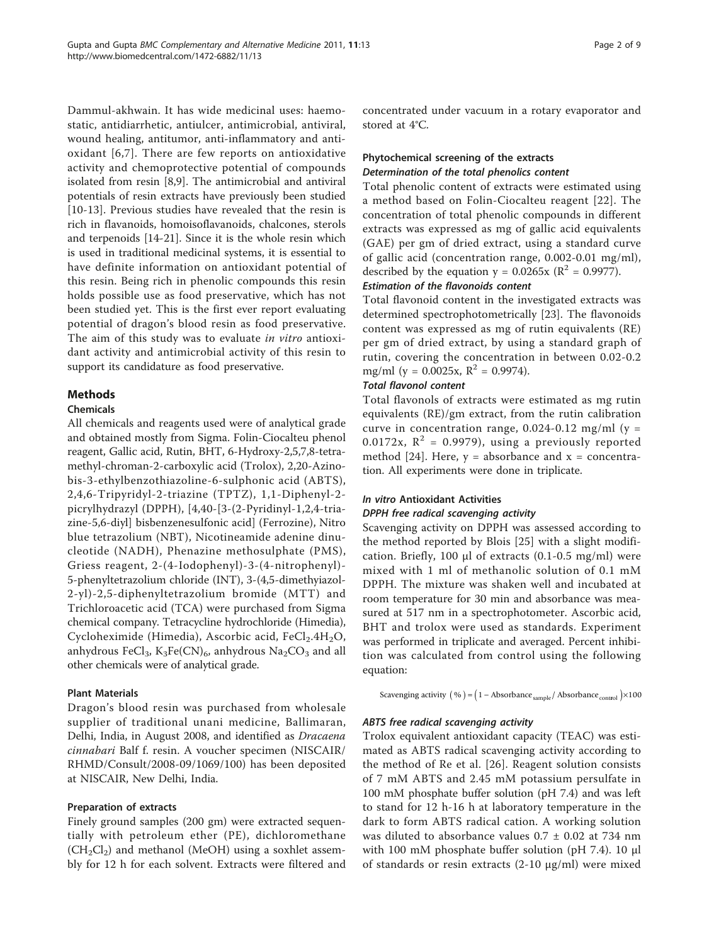Dammul-akhwain. It has wide medicinal uses: haemostatic, antidiarrhetic, antiulcer, antimicrobial, antiviral, wound healing, antitumor, anti-inflammatory and antioxidant [[6,7\]](#page-8-0). There are few reports on antioxidative activity and chemoprotective potential of compounds isolated from resin [[8,9\]](#page-8-0). The antimicrobial and antiviral potentials of resin extracts have previously been studied [[10-13\]](#page-8-0). Previous studies have revealed that the resin is rich in flavanoids, homoisoflavanoids, chalcones, sterols and terpenoids [\[14-21](#page-8-0)]. Since it is the whole resin which is used in traditional medicinal systems, it is essential to have definite information on antioxidant potential of this resin. Being rich in phenolic compounds this resin holds possible use as food preservative, which has not been studied yet. This is the first ever report evaluating potential of dragon's blood resin as food preservative. The aim of this study was to evaluate in vitro antioxidant activity and antimicrobial activity of this resin to support its candidature as food preservative.

## Methods

#### Chemicals

All chemicals and reagents used were of analytical grade and obtained mostly from Sigma. Folin-Ciocalteu phenol reagent, Gallic acid, Rutin, BHT, 6-Hydroxy-2,5,7,8-tetramethyl-chroman-2-carboxylic acid (Trolox), 2,20-Azinobis-3-ethylbenzothiazoline-6-sulphonic acid (ABTS), 2,4,6-Tripyridyl-2-triazine (TPTZ), 1,1-Diphenyl-2 picrylhydrazyl (DPPH), [4,40-[3-(2-Pyridinyl-1,2,4-triazine-5,6-diyl] bisbenzenesulfonic acid] (Ferrozine), Nitro blue tetrazolium (NBT), Nicotineamide adenine dinucleotide (NADH), Phenazine methosulphate (PMS), Griess reagent, 2-(4-Iodophenyl)-3-(4-nitrophenyl)- 5-phenyltetrazolium chloride (INT), 3-(4,5-dimethyiazol-2-yl)-2,5-diphenyltetrazolium bromide (MTT) and Trichloroacetic acid (TCA) were purchased from Sigma chemical company. Tetracycline hydrochloride (Himedia), Cycloheximide (Himedia), Ascorbic acid, FeCl<sub>2</sub>.4H<sub>2</sub>O, anhydrous FeCl<sub>3</sub>, K<sub>3</sub>Fe(CN)<sub>6</sub>, anhydrous Na<sub>2</sub>CO<sub>3</sub> and all other chemicals were of analytical grade.

#### Plant Materials

Dragon's blood resin was purchased from wholesale supplier of traditional unani medicine, Ballimaran, Delhi, India, in August 2008, and identified as Dracaena cinnabari Balf f. resin. A voucher specimen (NISCAIR/ RHMD/Consult/2008-09/1069/100) has been deposited at NISCAIR, New Delhi, India.

#### Preparation of extracts

Finely ground samples (200 gm) were extracted sequentially with petroleum ether (PE), dichloromethane  $(CH_2Cl_2)$  and methanol (MeOH) using a soxhlet assembly for 12 h for each solvent. Extracts were filtered and concentrated under vacuum in a rotary evaporator and stored at 4°C.

## Phytochemical screening of the extracts Determination of the total phenolics content

Total phenolic content of extracts were estimated using a method based on Folin-Ciocalteu reagent [[22](#page-8-0)]. The concentration of total phenolic compounds in different extracts was expressed as mg of gallic acid equivalents (GAE) per gm of dried extract, using a standard curve of gallic acid (concentration range, 0.002-0.01 mg/ml), described by the equation  $y = 0.0265x$  ( $\mathbb{R}^2 = 0.9977$ ).

## Estimation of the flavonoids content

Total flavonoid content in the investigated extracts was determined spectrophotometrically [[23\]](#page-8-0). The flavonoids content was expressed as mg of rutin equivalents (RE) per gm of dried extract, by using a standard graph of rutin, covering the concentration in between 0.02-0.2 mg/ml (y = 0.0025x,  $R^2$  = 0.9974).

## Total flavonol content

Total flavonols of extracts were estimated as mg rutin equivalents (RE)/gm extract, from the rutin calibration curve in concentration range,  $0.024 - 0.12$  mg/ml (y = 0.0172x,  $R^2 = 0.9979$ ), using a previously reported method [[24\]](#page-8-0). Here,  $y =$  absorbance and  $x =$  concentration. All experiments were done in triplicate.

## In vitro Antioxidant Activities

#### DPPH free radical scavenging activity

Scavenging activity on DPPH was assessed according to the method reported by Blois [[25\]](#page-8-0) with a slight modification. Briefly, 100 μl of extracts  $(0.1-0.5 \text{ mg/ml})$  were mixed with 1 ml of methanolic solution of 0.1 mM DPPH. The mixture was shaken well and incubated at room temperature for 30 min and absorbance was measured at 517 nm in a spectrophotometer. Ascorbic acid, BHT and trolox were used as standards. Experiment was performed in triplicate and averaged. Percent inhibition was calculated from control using the following equation:

Scavenging activity  $(\% ) = (1 - \text{Absorbane}_{\text{sample}} / \text{Absorbane}_{\text{control}}) \times 100$ 

#### ABTS free radical scavenging activity

Trolox equivalent antioxidant capacity (TEAC) was estimated as ABTS radical scavenging activity according to the method of Re et al. [[26](#page-8-0)]. Reagent solution consists of 7 mM ABTS and 2.45 mM potassium persulfate in 100 mM phosphate buffer solution (pH 7.4) and was left to stand for 12 h-16 h at laboratory temperature in the dark to form ABTS radical cation. A working solution was diluted to absorbance values  $0.7 \pm 0.02$  at 734 nm with 100 mM phosphate buffer solution (pH 7.4). 10 μl of standards or resin extracts (2-10 μg/ml) were mixed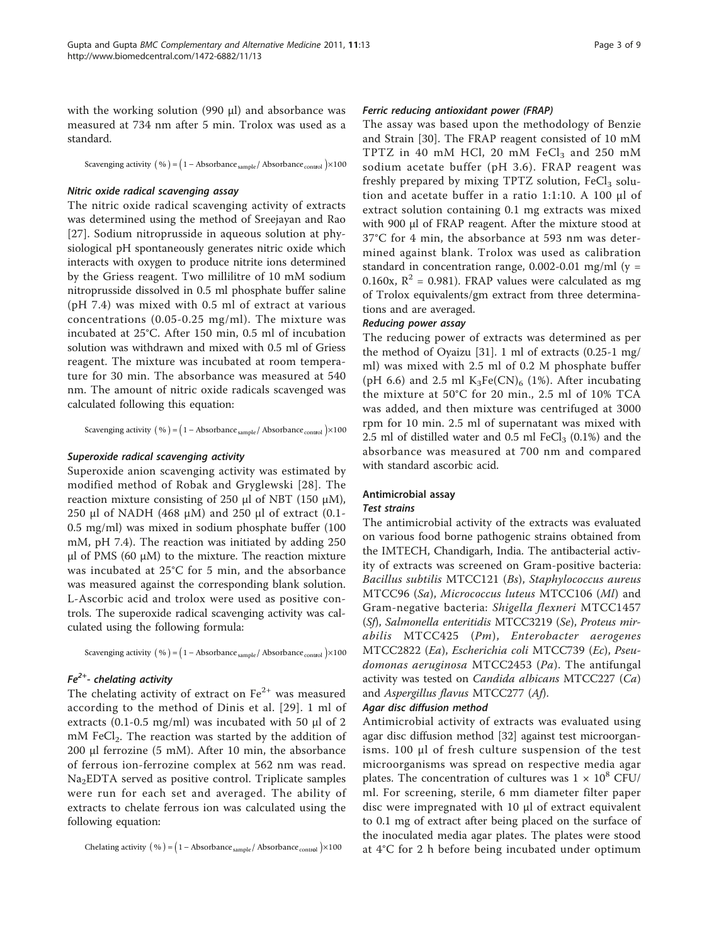with the working solution (990 μl) and absorbance was measured at 734 nm after 5 min. Trolox was used as a standard.

Scavenging activity  $(\% ) = (1 - \text{Absorbane}_{\text{sample}} / \text{Absorbane}_{\text{control}}) \times 100$ 

#### Nitric oxide radical scavenging assay

The nitric oxide radical scavenging activity of extracts was determined using the method of Sreejayan and Rao [[27](#page-8-0)]. Sodium nitroprusside in aqueous solution at physiological pH spontaneously generates nitric oxide which interacts with oxygen to produce nitrite ions determined by the Griess reagent. Two millilitre of 10 mM sodium nitroprusside dissolved in 0.5 ml phosphate buffer saline (pH 7.4) was mixed with 0.5 ml of extract at various concentrations (0.05-0.25 mg/ml). The mixture was incubated at 25°C. After 150 min, 0.5 ml of incubation solution was withdrawn and mixed with 0.5 ml of Griess reagent. The mixture was incubated at room temperature for 30 min. The absorbance was measured at 540 nm. The amount of nitric oxide radicals scavenged was calculated following this equation:

Scavenging activity  $(\% ) = (1 - \text{Absorbane}_{\text{sample}} / \text{Absorbane}_{\text{control}}) \times 100$ 

#### Superoxide radical scavenging activity

Superoxide anion scavenging activity was estimated by modified method of Robak and Gryglewski [[28](#page-8-0)]. The reaction mixture consisting of 250 μl of NBT (150 μM), 250 μl of NADH (468 μM) and 250 μl of extract (0.1- 0.5 mg/ml) was mixed in sodium phosphate buffer (100 mM, pH 7.4). The reaction was initiated by adding 250 μl of PMS (60 μM) to the mixture. The reaction mixture was incubated at 25°C for 5 min, and the absorbance was measured against the corresponding blank solution. L-Ascorbic acid and trolox were used as positive controls. The superoxide radical scavenging activity was calculated using the following formula:

Scavenging activity  $(\% ) = (1 - \text{Absorbance}_{\text{sample}} / \text{Absorbance}_{\text{control}}) \times 100$ 

#### $Fe<sup>2+</sup>$ - chelating activity

The chelating activity of extract on  $Fe^{2+}$  was measured according to the method of Dinis et al. [[29\]](#page-8-0). 1 ml of extracts (0.1-0.5 mg/ml) was incubated with 50  $\mu$ l of 2 mM FeCl<sub>2</sub>. The reaction was started by the addition of 200 μl ferrozine (5 mM). After 10 min, the absorbance of ferrous ion-ferrozine complex at 562 nm was read. Na2EDTA served as positive control. Triplicate samples were run for each set and averaged. The ability of extracts to chelate ferrous ion was calculated using the following equation:

Chelating activity  $(\% ) = (1 - \text{Absorbane}_{sample}/ \text{Absorbane}_{control}) \times 100$ 

#### Ferric reducing antioxidant power (FRAP)

The assay was based upon the methodology of Benzie and Strain [[30\]](#page-8-0). The FRAP reagent consisted of 10 mM TPTZ in 40 mM HCl, 20 mM FeCl<sub>3</sub> and 250 mM sodium acetate buffer (pH 3.6). FRAP reagent was freshly prepared by mixing TPTZ solution,  $FeCl<sub>3</sub>$  solution and acetate buffer in a ratio 1:1:10. A 100 μl of extract solution containing 0.1 mg extracts was mixed with 900 μl of FRAP reagent. After the mixture stood at 37°C for 4 min, the absorbance at 593 nm was determined against blank. Trolox was used as calibration standard in concentration range,  $0.002$ -0.01 mg/ml (y = 0.160x,  $R^2$  = 0.981). FRAP values were calculated as mg of Trolox equivalents/gm extract from three determinations and are averaged.

#### Reducing power assay

The reducing power of extracts was determined as per the method of Oyaizu [\[31](#page-8-0)]. 1 ml of extracts (0.25-1 mg/ ml) was mixed with 2.5 ml of 0.2 M phosphate buffer (pH 6.6) and 2.5 ml  $K_3Fe(CN)_6$  (1%). After incubating the mixture at 50°C for 20 min., 2.5 ml of 10% TCA was added, and then mixture was centrifuged at 3000 rpm for 10 min. 2.5 ml of supernatant was mixed with 2.5 ml of distilled water and 0.5 ml  $FeCl<sub>3</sub>$  (0.1%) and the absorbance was measured at 700 nm and compared with standard ascorbic acid.

#### Antimicrobial assay

#### Test strains

The antimicrobial activity of the extracts was evaluated on various food borne pathogenic strains obtained from the IMTECH, Chandigarh, India. The antibacterial activity of extracts was screened on Gram-positive bacteria: Bacillus subtilis MTCC121 (Bs), Staphylococcus aureus MTCC96 (Sa), Micrococcus luteus MTCC106 (Ml) and Gram-negative bacteria: Shigella flexneri MTCC1457 (Sf), Salmonella enteritidis MTCC3219 (Se), Proteus mirabilis MTCC425 (Pm), Enterobacter aerogenes MTCC2822 (Ea), Escherichia coli MTCC739 (Ec), Pseudomonas aeruginosa MTCC2453 (Pa). The antifungal activity was tested on Candida albicans MTCC227 (Ca) and Aspergillus flavus MTCC277 (Af).

#### Agar disc diffusion method

Antimicrobial activity of extracts was evaluated using agar disc diffusion method [[32](#page-8-0)] against test microorganisms. 100 μl of fresh culture suspension of the test microorganisms was spread on respective media agar plates. The concentration of cultures was  $1 \times 10^8$  CFU/ ml. For screening, sterile, 6 mm diameter filter paper disc were impregnated with 10 μl of extract equivalent to 0.1 mg of extract after being placed on the surface of the inoculated media agar plates. The plates were stood at 4°C for 2 h before being incubated under optimum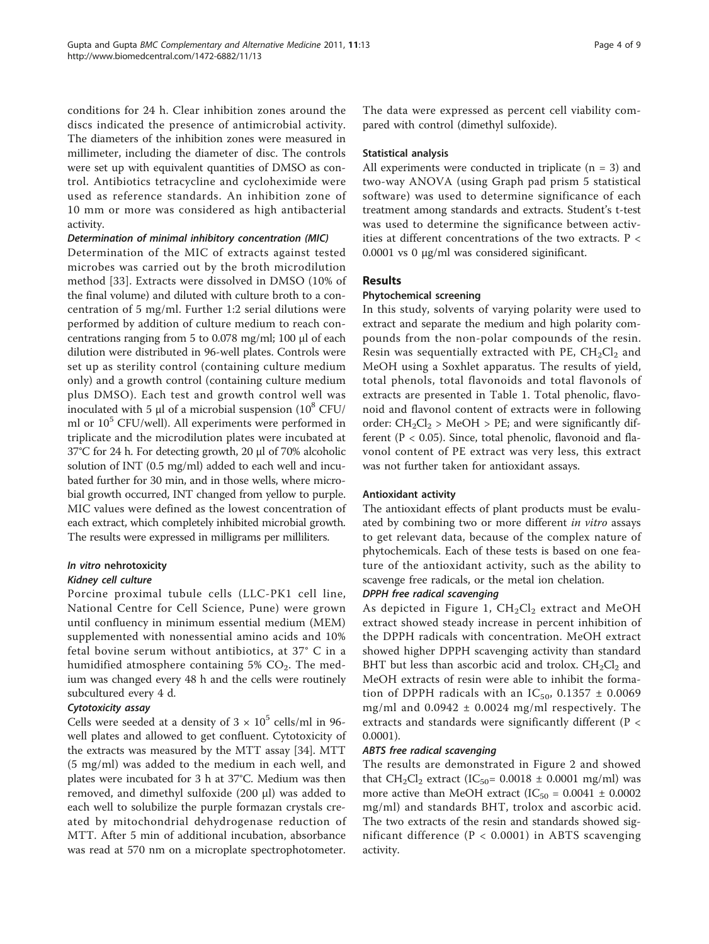conditions for 24 h. Clear inhibition zones around the discs indicated the presence of antimicrobial activity. The diameters of the inhibition zones were measured in millimeter, including the diameter of disc. The controls were set up with equivalent quantities of DMSO as control. Antibiotics tetracycline and cycloheximide were used as reference standards. An inhibition zone of 10 mm or more was considered as high antibacterial activity.

## Determination of minimal inhibitory concentration (MIC)

Determination of the MIC of extracts against tested microbes was carried out by the broth microdilution method [\[33](#page-8-0)]. Extracts were dissolved in DMSO (10% of the final volume) and diluted with culture broth to a concentration of 5 mg/ml. Further 1:2 serial dilutions were performed by addition of culture medium to reach concentrations ranging from 5 to 0.078 mg/ml; 100 μl of each dilution were distributed in 96-well plates. Controls were set up as sterility control (containing culture medium only) and a growth control (containing culture medium plus DMSO). Each test and growth control well was inoculated with 5  $\mu$ l of a microbial suspension (10<sup>8</sup> CFU/ ml or  $10^5$  CFU/well). All experiments were performed in triplicate and the microdilution plates were incubated at 37°C for 24 h. For detecting growth, 20 μl of 70% alcoholic solution of INT (0.5 mg/ml) added to each well and incubated further for 30 min, and in those wells, where microbial growth occurred, INT changed from yellow to purple. MIC values were defined as the lowest concentration of each extract, which completely inhibited microbial growth. The results were expressed in milligrams per milliliters.

#### In vitro nehrotoxicity Kidney cell culture

Porcine proximal tubule cells (LLC-PK1 cell line, National Centre for Cell Science, Pune) were grown until confluency in minimum essential medium (MEM) supplemented with nonessential amino acids and 10% fetal bovine serum without antibiotics, at 37° C in a humidified atmosphere containing  $5\%$  CO<sub>2</sub>. The medium was changed every 48 h and the cells were routinely subcultured every 4 d.

## Cytotoxicity assay

Cells were seeded at a density of  $3 \times 10^5$  cells/ml in 96well plates and allowed to get confluent. Cytotoxicity of the extracts was measured by the MTT assay [\[34\]](#page-8-0). MTT (5 mg/ml) was added to the medium in each well, and plates were incubated for 3 h at 37°C. Medium was then removed, and dimethyl sulfoxide (200 μl) was added to each well to solubilize the purple formazan crystals created by mitochondrial dehydrogenase reduction of MTT. After 5 min of additional incubation, absorbance was read at 570 nm on a microplate spectrophotometer. The data were expressed as percent cell viability compared with control (dimethyl sulfoxide).

#### Statistical analysis

All experiments were conducted in triplicate  $(n = 3)$  and two-way ANOVA (using Graph pad prism 5 statistical software) was used to determine significance of each treatment among standards and extracts. Student's t-test was used to determine the significance between activities at different concentrations of the two extracts. P < 0.0001 vs 0 μg/ml was considered siginificant.

#### Results

#### Phytochemical screening

In this study, solvents of varying polarity were used to extract and separate the medium and high polarity compounds from the non-polar compounds of the resin. Resin was sequentially extracted with PE,  $CH_2Cl_2$  and MeOH using a Soxhlet apparatus. The results of yield, total phenols, total flavonoids and total flavonols of extracts are presented in Table [1](#page-4-0). Total phenolic, flavonoid and flavonol content of extracts were in following order:  $CH_2Cl_2$  > MeOH > PE; and were significantly different ( $P < 0.05$ ). Since, total phenolic, flavonoid and flavonol content of PE extract was very less, this extract was not further taken for antioxidant assays.

#### Antioxidant activity

The antioxidant effects of plant products must be evaluated by combining two or more different in vitro assays to get relevant data, because of the complex nature of phytochemicals. Each of these tests is based on one feature of the antioxidant activity, such as the ability to scavenge free radicals, or the metal ion chelation.

#### DPPH free radical scavenging

As depicted in Figure [1](#page-4-0),  $CH_2Cl_2$  extract and MeOH extract showed steady increase in percent inhibition of the DPPH radicals with concentration. MeOH extract showed higher DPPH scavenging activity than standard BHT but less than ascorbic acid and trolox.  $CH_2Cl_2$  and MeOH extracts of resin were able to inhibit the formation of DPPH radicals with an  $IC_{50}$ , 0.1357  $\pm$  0.0069 mg/ml and  $0.0942 \pm 0.0024$  mg/ml respectively. The extracts and standards were significantly different (P < 0.0001).

#### ABTS free radical scavenging

The results are demonstrated in Figure [2](#page-4-0) and showed that  $CH_2Cl_2$  extract (IC<sub>50</sub>= 0.0018  $\pm$  0.0001 mg/ml) was more active than MeOH extract (IC<sub>50</sub> =  $0.0041 \pm 0.0002$ mg/ml) and standards BHT, trolox and ascorbic acid. The two extracts of the resin and standards showed significant difference  $(P < 0.0001)$  in ABTS scavenging activity.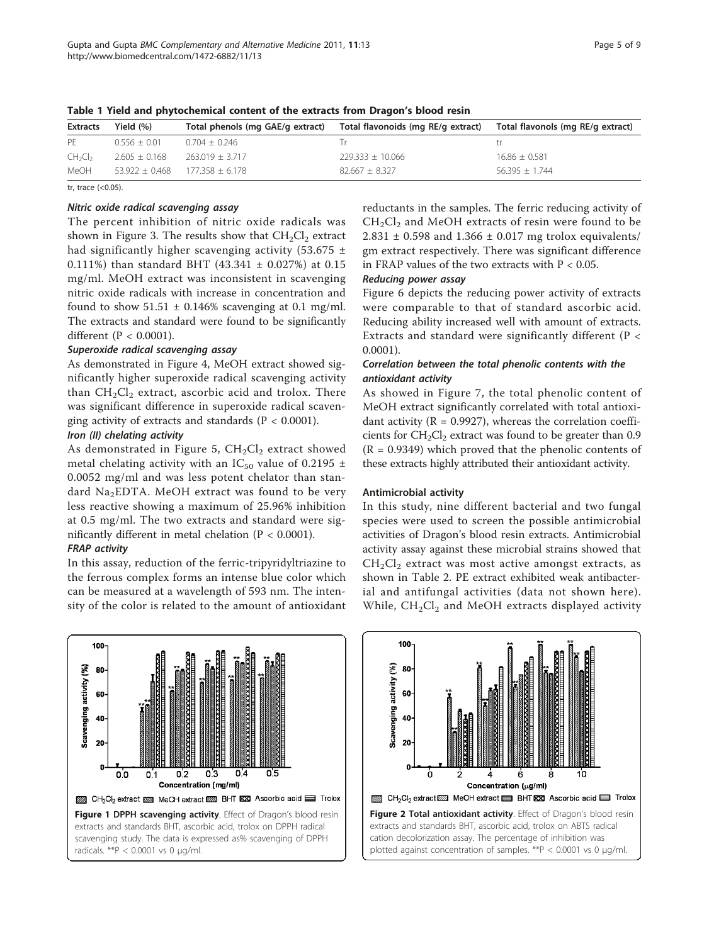| <b>Extracts</b>                 | Yield $(\% )$     | Total phenols (mg GAE/g extract) | Total flavonoids (mg RE/g extract) | Total flavonols (mg RE/g extract) |
|---------------------------------|-------------------|----------------------------------|------------------------------------|-----------------------------------|
| PF                              | $0.556 \pm 0.01$  | $0.704 \pm 0.246$                |                                    |                                   |
| CH <sub>2</sub> Cl <sub>2</sub> | $2.605 \pm 0.168$ | $263.019 \pm 3.717$              | $229.333 \pm 10.066$               | $16.86 + 0.581$                   |
| MeOH                            | $53.922 + 0.468$  | $177.358 + 6.178$                | $82.667 \pm 8.327$                 | $56.395 + 1.744$                  |

<span id="page-4-0"></span>Table 1 Yield and phytochemical content of the extracts from Dragon's blood resin

tr, trace (<0.05).

#### Nitric oxide radical scavenging assay

The percent inhibition of nitric oxide radicals was shown in Figure [3](#page-5-0). The results show that  $CH<sub>2</sub>Cl<sub>2</sub>$  extract had significantly higher scavenging activity (53.675  $\pm$ 0.111%) than standard BHT (43.341 ± 0.027%) at 0.15 mg/ml. MeOH extract was inconsistent in scavenging nitric oxide radicals with increase in concentration and found to show  $51.51 \pm 0.146\%$  scavenging at 0.1 mg/ml. The extracts and standard were found to be significantly different (P < 0.0001).

## Superoxide radical scavenging assay

As demonstrated in Figure [4](#page-5-0), MeOH extract showed significantly higher superoxide radical scavenging activity than  $CH<sub>2</sub>Cl<sub>2</sub>$  extract, ascorbic acid and trolox. There was significant difference in superoxide radical scavenging activity of extracts and standards ( $P < 0.0001$ ).

## Iron (II) chelating activity

As demonstrated in Figure [5,](#page-5-0)  $CH_2Cl_2$  extract showed metal chelating activity with an IC<sub>50</sub> value of 0.2195  $\pm$ 0.0052 mg/ml and was less potent chelator than standard Na<sub>2</sub>EDTA. MeOH extract was found to be very less reactive showing a maximum of 25.96% inhibition at 0.5 mg/ml. The two extracts and standard were significantly different in metal chelation (P < 0.0001).

## FRAP activity

In this assay, reduction of the ferric-tripyridyltriazine to the ferrous complex forms an intense blue color which can be measured at a wavelength of 593 nm. The intensity of the color is related to the amount of antioxidant

100 Scavenging activity (%) 80 60 40 20  $\mathbf 0$  $0.3$ 0.4 0.5 0.0 0.1  $0.2$ Concentration (mg/ml) CH<sub>2</sub>Cl<sub>2</sub> extract NSS MeOH extract 23 BHT XXI Ascorbic acid E Trolox Figure 1 DPPH scavenging activity. Effect of Dragon's blood resin extracts and standards BHT, ascorbic acid, trolox on DPPH radical scavenging study. The data is expressed as% scavenging of DPPH radicals. \*\*P < 0.0001 vs 0 μg/ml.

reductants in the samples. The ferric reducing activity of  $CH<sub>2</sub>Cl<sub>2</sub>$  and MeOH extracts of resin were found to be  $2.831 \pm 0.598$  and  $1.366 \pm 0.017$  mg trolox equivalents/ gm extract respectively. There was significant difference in FRAP values of the two extracts with  $P < 0.05$ .

#### Reducing power assay

Figure [6](#page-5-0) depicts the reducing power activity of extracts were comparable to that of standard ascorbic acid. Reducing ability increased well with amount of extracts. Extracts and standard were significantly different (P < 0.0001).

## Correlation between the total phenolic contents with the antioxidant activity

As showed in Figure [7,](#page-6-0) the total phenolic content of MeOH extract significantly correlated with total antioxidant activity ( $R = 0.9927$ ), whereas the correlation coefficients for  $CH_2Cl_2$  extract was found to be greater than 0.9  $(R = 0.9349)$  which proved that the phenolic contents of these extracts highly attributed their antioxidant activity.

#### Antimicrobial activity

In this study, nine different bacterial and two fungal species were used to screen the possible antimicrobial activities of Dragon's blood resin extracts. Antimicrobial activity assay against these microbial strains showed that  $CH<sub>2</sub>Cl<sub>2</sub>$  extract was most active amongst extracts, as shown in Table [2](#page-6-0). PE extract exhibited weak antibacterial and antifungal activities (data not shown here). While,  $CH_2Cl_2$  and MeOH extracts displayed activity

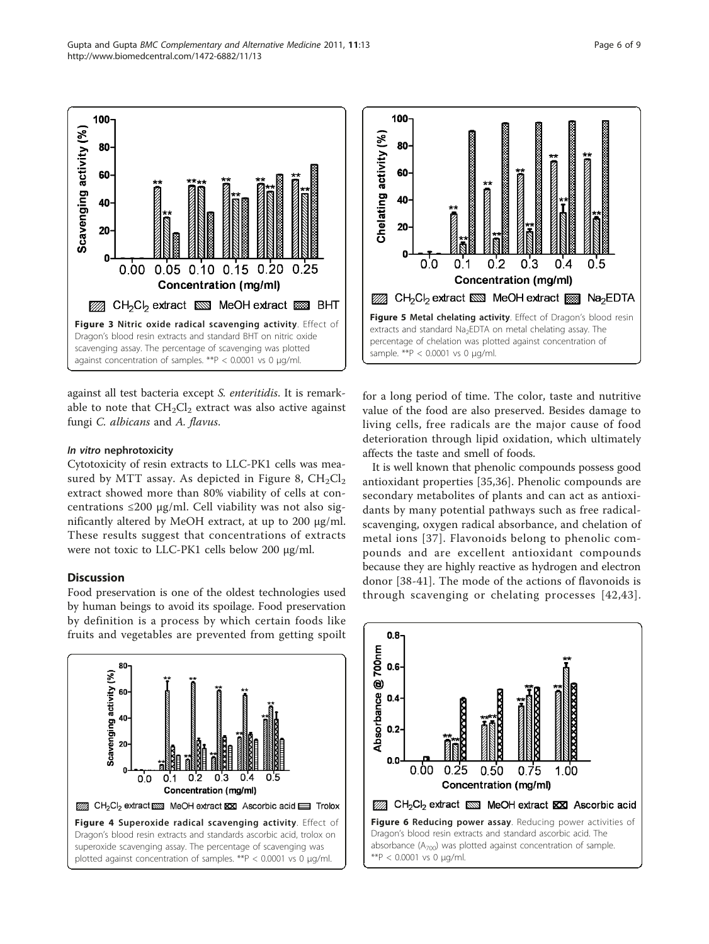against all test bacteria except S. enteritidis. It is remarkable to note that  $CH<sub>2</sub>Cl<sub>2</sub>$  extract was also active against fungi C. albicans and A. flavus.

Figure 3 Nitric oxide radical scavenging activity. Effect of Dragon's blood resin extracts and standard BHT on nitric oxide scavenging assay. The percentage of scavenging was plotted against concentration of samples. \*\*P < 0.0001 vs 0 μg/ml.

0.10 0.15 0.20

**Concentration (mg/ml)** 

77 CH<sub>2</sub>Cl<sub>2</sub> extract No MeOH extract 2009 BHT

 $0.25$ 

#### In vitro nephrotoxicity

<span id="page-5-0"></span>100

80

60

 $40<sup>1</sup>$ 

 $20 -$ 

ſ

 $0.00$ 

 $0.05$ 

Scavenging activity (%)

Cytotoxicity of resin extracts to LLC-PK1 cells was mea-sured by MTT assay. As depicted in Figure [8,](#page-6-0)  $CH_2Cl_2$ extract showed more than 80% viability of cells at concentrations ≤200 μg/ml. Cell viability was not also significantly altered by MeOH extract, at up to 200 μg/ml. These results suggest that concentrations of extracts were not toxic to LLC-PK1 cells below 200 μg/ml.

#### **Discussion**

80

Food preservation is one of the oldest technologies used by human beings to avoid its spoilage. Food preservation by definition is a process by which certain foods like fruits and vegetables are prevented from getting spoilt





for a long period of time. The color, taste and nutritive value of the food are also preserved. Besides damage to living cells, free radicals are the major cause of food deterioration through lipid oxidation, which ultimately affects the taste and smell of foods.

It is well known that phenolic compounds possess good antioxidant properties [[35,36](#page-8-0)]. Phenolic compounds are secondary metabolites of plants and can act as antioxidants by many potential pathways such as free radicalscavenging, oxygen radical absorbance, and chelation of metal ions [[37\]](#page-8-0). Flavonoids belong to phenolic compounds and are excellent antioxidant compounds because they are highly reactive as hydrogen and electron donor [\[38](#page-8-0)-[41](#page-8-0)]. The mode of the actions of flavonoids is through scavenging or chelating processes [[42](#page-8-0),[43\]](#page-8-0).

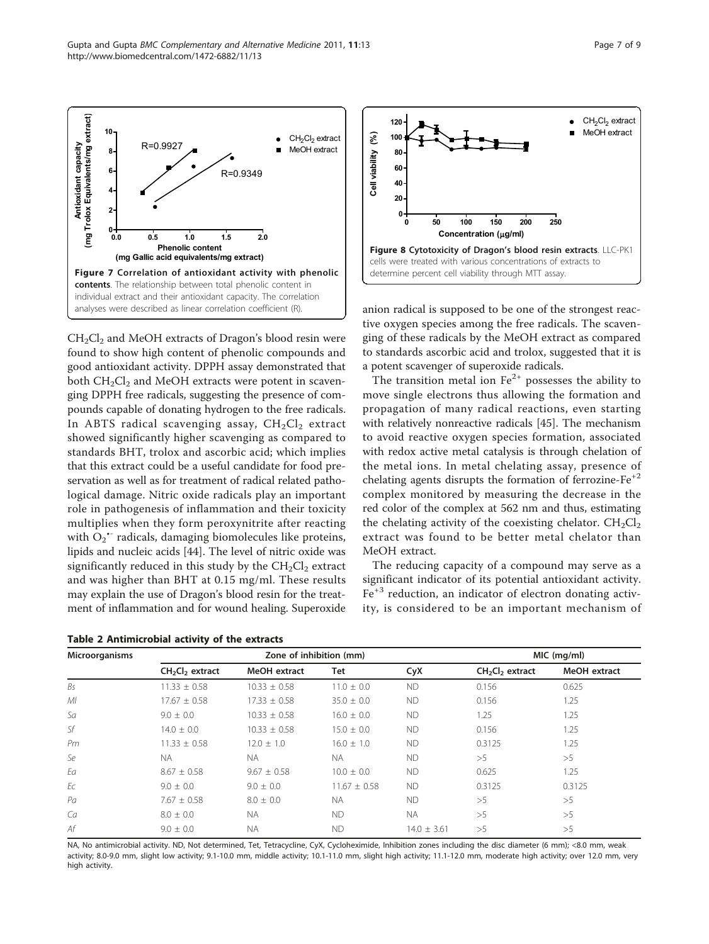$CH<sub>2</sub>Cl<sub>2</sub>$  and MeOH extracts of Dragon's blood resin were found to show high content of phenolic compounds and good antioxidant activity. DPPH assay demonstrated that both  $CH_2Cl_2$  and MeOH extracts were potent in scavenging DPPH free radicals, suggesting the presence of compounds capable of donating hydrogen to the free radicals. In ABTS radical scavenging assay,  $CH<sub>2</sub>Cl<sub>2</sub>$  extract showed significantly higher scavenging as compared to standards BHT, trolox and ascorbic acid; which implies that this extract could be a useful candidate for food preservation as well as for treatment of radical related pathological damage. Nitric oxide radicals play an important role in pathogenesis of inflammation and their toxicity multiplies when they form peroxynitrite after reacting with  $O_2$ <sup>+</sup> radicals, damaging biomolecules like proteins, lipids and nucleic acids [\[44](#page-8-0)]. The level of nitric oxide was significantly reduced in this study by the  $CH<sub>2</sub>Cl<sub>2</sub>$  extract and was higher than BHT at 0.15 mg/ml. These results may explain the use of Dragon's blood resin for the treatment of inflammation and for wound healing. Superoxide

**0.0 0.5 1.0 1.5 2.0**

**Phenolic content (mg Gallic acid equivalents/mg extract)**

contents. The relationship between total phenolic content in individual extract and their antioxidant capacity. The correlation analyses were described as linear correlation coefficient (R).

**0**

**Antioxidant capacity (mg Trolox Equivalents/mg extract)**

<span id="page-6-0"></span>Antioxidant capacity<br>Trolox Equivalents/mg extract)





**60 80 100**

 $\mathcal{E}$ 

anion radical is supposed to be one of the strongest reactive oxygen species among the free radicals. The scavenging of these radicals by the MeOH extract as compared to standards ascorbic acid and trolox, suggested that it is a potent scavenger of superoxide radicals.

**120**  $\blacksquare$   $\blacksquare$ 

The transition metal ion  $Fe^{2+}$  possesses the ability to move single electrons thus allowing the formation and propagation of many radical reactions, even starting with relatively nonreactive radicals [\[45\]](#page-8-0). The mechanism to avoid reactive oxygen species formation, associated with redox active metal catalysis is through chelation of the metal ions. In metal chelating assay, presence of chelating agents disrupts the formation of ferrozine- $Fe^{+2}$ complex monitored by measuring the decrease in the red color of the complex at 562 nm and thus, estimating the chelating activity of the coexisting chelator.  $CH_2Cl_2$ extract was found to be better metal chelator than MeOH extract.

The reducing capacity of a compound may serve as a significant indicator of its potential antioxidant activity.  $Fe<sup>+3</sup>$  reduction, an indicator of electron donating activity, is considered to be an important mechanism of

| Microorganisms |                  | Zone of inhibition (mm) | MIC (mg/ml)      |                 |                                         |              |
|----------------|------------------|-------------------------|------------------|-----------------|-----------------------------------------|--------------|
|                | $CH2Cl2$ extract | MeOH extract            | Tet              | CyX             | CH <sub>2</sub> Cl <sub>2</sub> extract | MeOH extract |
| Bs             | $11.33 \pm 0.58$ | $10.33 \pm 0.58$        | $11.0 \pm 0.0$   | <b>ND</b>       | 0.156                                   | 0.625        |
| M <sub>l</sub> | $17.67 \pm 0.58$ | $17.33 \pm 0.58$        | $35.0 \pm 0.0$   | <b>ND</b>       | 0.156                                   | 1.25         |
| Sa             | $9.0 \pm 0.0$    | $10.33 \pm 0.58$        | $16.0 \pm 0.0$   | <b>ND</b>       | 1.25                                    | 1.25         |
| Sf             | $14.0 \pm 0.0$   | $10.33 \pm 0.58$        | $15.0 \pm 0.0$   | <b>ND</b>       | 0.156                                   | 1.25         |
| Pm             | $11.33 \pm 0.58$ | $12.0 \pm 1.0$          | $16.0 \pm 1.0$   | <b>ND</b>       | 0.3125                                  | 1.25         |
| Se             | <b>NA</b>        | NA.                     | NA.              | <b>ND</b>       | >5                                      | >5           |
| Ea             | $8.67 \pm 0.58$  | $9.67 \pm 0.58$         | $10.0 \pm 0.0$   | <b>ND</b>       | 0.625                                   | 1.25         |
| Ec             | $9.0 \pm 0.0$    | $9.0 \pm 0.0$           | $11.67 \pm 0.58$ | <b>ND</b>       | 0.3125                                  | 0.3125       |
| Pa             | $7.67 \pm 0.58$  | $8.0 \pm 0.0$           | NA.              | <b>ND</b>       | >5                                      | >5           |
| Ca             | $8.0 \pm 0.0$    | <b>NA</b>               | ND.              | <b>NA</b>       | >5                                      | >5           |
| Af             | $9.0 \pm 0.0$    | <b>NA</b>               | <b>ND</b>        | $14.0 \pm 3.61$ | >5                                      | >5           |

NA, No antimicrobial activity. ND, Not determined, Tet, Tetracycline, CyX, Cycloheximide, Inhibition zones including the disc diameter (6 mm); <8.0 mm, weak activity; 8.0-9.0 mm, slight low activity; 9.1-10.0 mm, middle activity; 10.1-11.0 mm, slight high activity; 11.1-12.0 mm, moderate high activity; over 12.0 mm, very high activity.

 $R = 0.9927$  MeOH extract

R=0.9349

CH<sub>2</sub>Cl<sub>2</sub> extract

MeOH extract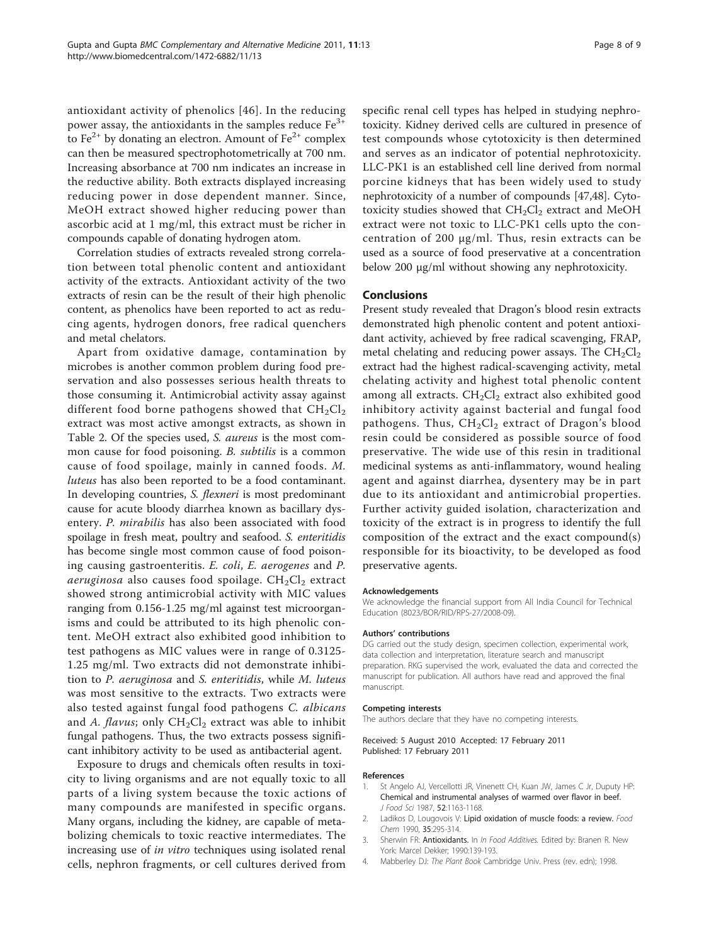<span id="page-7-0"></span>antioxidant activity of phenolics [[46](#page-8-0)]. In the reducing power assay, the antioxidants in the samples reduce  $Fe<sup>3+</sup>$ to  $Fe^{2+}$  by donating an electron. Amount of  $Fe^{2+}$  complex can then be measured spectrophotometrically at 700 nm. Increasing absorbance at 700 nm indicates an increase in the reductive ability. Both extracts displayed increasing reducing power in dose dependent manner. Since, MeOH extract showed higher reducing power than ascorbic acid at 1 mg/ml, this extract must be richer in compounds capable of donating hydrogen atom.

Correlation studies of extracts revealed strong correlation between total phenolic content and antioxidant activity of the extracts. Antioxidant activity of the two extracts of resin can be the result of their high phenolic content, as phenolics have been reported to act as reducing agents, hydrogen donors, free radical quenchers and metal chelators.

Apart from oxidative damage, contamination by microbes is another common problem during food preservation and also possesses serious health threats to those consuming it. Antimicrobial activity assay against different food borne pathogens showed that  $CH_2Cl_2$ extract was most active amongst extracts, as shown in Table [2.](#page-6-0) Of the species used, S. aureus is the most common cause for food poisoning. *B. subtilis* is a common cause of food spoilage, mainly in canned foods. M. luteus has also been reported to be a food contaminant. In developing countries, S. flexneri is most predominant cause for acute bloody diarrhea known as bacillary dysentery. P. mirabilis has also been associated with food spoilage in fresh meat, poultry and seafood. S. enteritidis has become single most common cause of food poisoning causing gastroenteritis. E. coli, E. aerogenes and P. aeruginosa also causes food spoilage.  $CH_2Cl_2$  extract showed strong antimicrobial activity with MIC values ranging from 0.156-1.25 mg/ml against test microorganisms and could be attributed to its high phenolic content. MeOH extract also exhibited good inhibition to test pathogens as MIC values were in range of 0.3125- 1.25 mg/ml. Two extracts did not demonstrate inhibition to P. aeruginosa and S. enteritidis, while M. luteus was most sensitive to the extracts. Two extracts were also tested against fungal food pathogens C. albicans and A. flavus; only  $CH_2Cl_2$  extract was able to inhibit fungal pathogens. Thus, the two extracts possess significant inhibitory activity to be used as antibacterial agent.

Exposure to drugs and chemicals often results in toxicity to living organisms and are not equally toxic to all parts of a living system because the toxic actions of many compounds are manifested in specific organs. Many organs, including the kidney, are capable of metabolizing chemicals to toxic reactive intermediates. The increasing use of in vitro techniques using isolated renal cells, nephron fragments, or cell cultures derived from specific renal cell types has helped in studying nephrotoxicity. Kidney derived cells are cultured in presence of test compounds whose cytotoxicity is then determined and serves as an indicator of potential nephrotoxicity. LLC-PK1 is an established cell line derived from normal porcine kidneys that has been widely used to study nephrotoxicity of a number of compounds [[47](#page-8-0),[48](#page-8-0)]. Cytotoxicity studies showed that  $CH<sub>2</sub>Cl<sub>2</sub>$  extract and MeOH extract were not toxic to LLC-PK1 cells upto the concentration of 200 μg/ml. Thus, resin extracts can be used as a source of food preservative at a concentration below 200 μg/ml without showing any nephrotoxicity.

#### **Conclusions**

Present study revealed that Dragon's blood resin extracts demonstrated high phenolic content and potent antioxidant activity, achieved by free radical scavenging, FRAP, metal chelating and reducing power assays. The  $CH_2Cl_2$ extract had the highest radical-scavenging activity, metal chelating activity and highest total phenolic content among all extracts.  $CH<sub>2</sub>Cl<sub>2</sub>$  extract also exhibited good inhibitory activity against bacterial and fungal food pathogens. Thus,  $CH<sub>2</sub>Cl<sub>2</sub>$  extract of Dragon's blood resin could be considered as possible source of food preservative. The wide use of this resin in traditional medicinal systems as anti-inflammatory, wound healing agent and against diarrhea, dysentery may be in part due to its antioxidant and antimicrobial properties. Further activity guided isolation, characterization and toxicity of the extract is in progress to identify the full composition of the extract and the exact compound(s) responsible for its bioactivity, to be developed as food preservative agents.

#### Acknowledgements

We acknowledge the financial support from All India Council for Technical Education (8023/BOR/RID/RPS-27/2008-09).

#### Authors' contributions

DG carried out the study design, specimen collection, experimental work, data collection and interpretation, literature search and manuscript preparation. RKG supervised the work, evaluated the data and corrected the manuscript for publication. All authors have read and approved the final manuscript.

#### Competing interests

The authors declare that they have no competing interests.

Received: 5 August 2010 Accepted: 17 February 2011 Published: 17 February 2011

#### References

- 1. St Angelo AJ, Vercellotti JR, Vinenett CH, Kuan JW, James C Jr, Duputy HP: Chemical and instrumental analyses of warmed over flavor in beef. J Food Sci 1987, 52:1163-1168.
- 2. Ladikos D, Lougovois V: Lipid oxidation of muscle foods: a review. Food Chem 1990, 35:295-314.
- 3. Sherwin FR: Antioxidants. In In Food Additives. Edited by: Branen R. New York: Marcel Dekker; 1990:139-193.
- 4. Mabberley DJ: The Plant Book Cambridge Univ. Press (rev. edn); 1998.